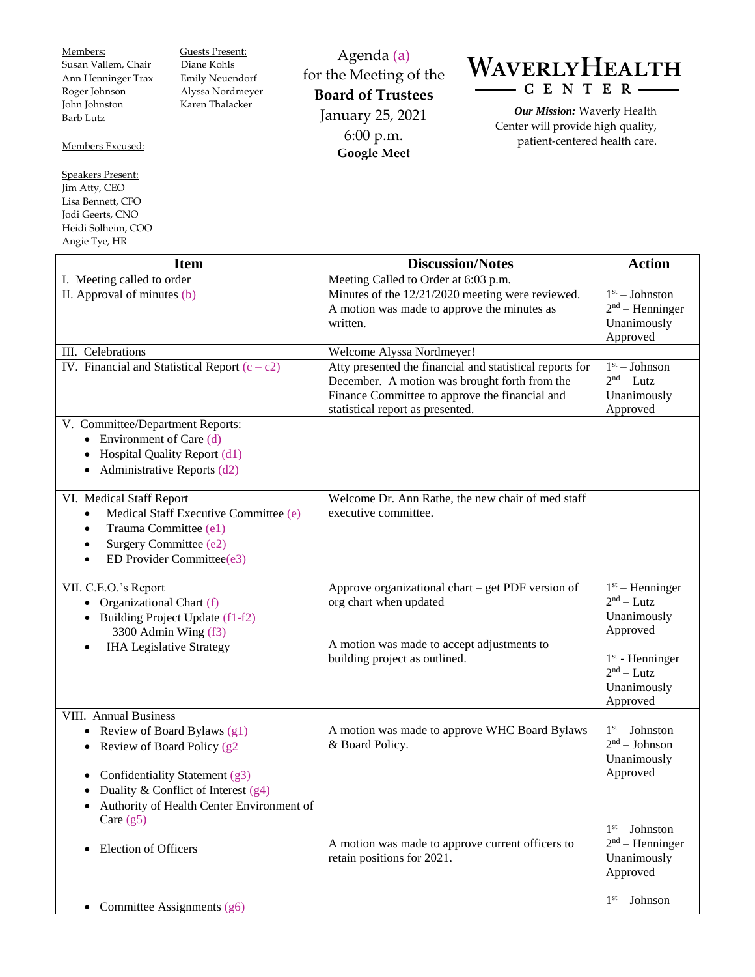Members: Guests Present: Susan Vallem, Chair Diane Kohls Ann Henninger Trax Emily Neuendorf Roger Johnson Alyssa Nordmeyer John Johnston Karen Thalacker Barb Lutz

Agenda (a) for the Meeting of the **Board of Trustees** January 25, 2021 6:00 p.m. **Google Meet**

## WAVERLYHEALTH  $-C E N T E R$

*Our Mission:* Waverly Health Center will provide high quality, patient-centered health care.

Members Excused:

Speakers Present: Jim Atty, CEO Lisa Bennett, CFO Jodi Geerts, CNO Heidi Solheim, COO Angie Tye, HR

| <b>Item</b>                                                                                                                                                                                                   | <b>Discussion/Notes</b>                                                                                                                                                                         | <b>Action</b>                                                                                                                |
|---------------------------------------------------------------------------------------------------------------------------------------------------------------------------------------------------------------|-------------------------------------------------------------------------------------------------------------------------------------------------------------------------------------------------|------------------------------------------------------------------------------------------------------------------------------|
| I. Meeting called to order                                                                                                                                                                                    | Meeting Called to Order at 6:03 p.m.                                                                                                                                                            |                                                                                                                              |
| II. Approval of minutes (b)                                                                                                                                                                                   | Minutes of the 12/21/2020 meeting were reviewed.<br>A motion was made to approve the minutes as<br>written.                                                                                     | $1st - Johnston$<br>$2nd$ – Henninger<br>Unanimously<br>Approved                                                             |
| III. Celebrations                                                                                                                                                                                             | Welcome Alyssa Nordmeyer!                                                                                                                                                                       |                                                                                                                              |
| IV. Financial and Statistical Report $(c - c2)$                                                                                                                                                               | Atty presented the financial and statistical reports for<br>December. A motion was brought forth from the<br>Finance Committee to approve the financial and<br>statistical report as presented. | $\overline{1^{st}}$ - Johnson<br>$2nd - Lutz$<br>Unanimously<br>Approved                                                     |
| V. Committee/Department Reports:<br>• Environment of Care $(d)$<br>Hospital Quality Report (d1)<br>٠<br>• Administrative Reports $(d2)$                                                                       |                                                                                                                                                                                                 |                                                                                                                              |
| VI. Medical Staff Report<br>Medical Staff Executive Committee (e)<br>$\bullet$<br>Trauma Committee (e1)<br>$\bullet$<br>Surgery Committee (e2)<br>$\bullet$<br>ED Provider Committee(e3)<br>$\bullet$         | Welcome Dr. Ann Rathe, the new chair of med staff<br>executive committee.                                                                                                                       |                                                                                                                              |
| VII. C.E.O.'s Report<br>• Organizational Chart $(f)$<br>Building Project Update (f1-f2)<br>3300 Admin Wing (f3)<br><b>IHA Legislative Strategy</b><br>$\bullet$                                               | Approve organizational chart – get PDF version of<br>org chart when updated<br>A motion was made to accept adjustments to<br>building project as outlined.                                      | $1st$ – Henninger<br>$2nd - Lutz$<br>Unanimously<br>Approved<br>$1st$ - Henninger<br>$2nd - Lutz$<br>Unanimously<br>Approved |
| VIII. Annual Business<br>Review of Board Bylaws (g1)<br>Review of Board Policy (g2<br>٠<br>Confidentiality Statement (g3)<br>Duality & Conflict of Interest (g4)<br>Authority of Health Center Environment of | A motion was made to approve WHC Board Bylaws<br>& Board Policy.                                                                                                                                | $1st - Johnston$<br>$2nd - Johnson$<br>Unanimously<br>Approved                                                               |
| Care $(g5)$<br>Election of Officers<br>Committee Assignments (g6)                                                                                                                                             | A motion was made to approve current officers to<br>retain positions for 2021.                                                                                                                  | $1st - Johnston$<br>$2nd$ – Henninger<br>Unanimously<br>Approved<br>$1st - Johnson$                                          |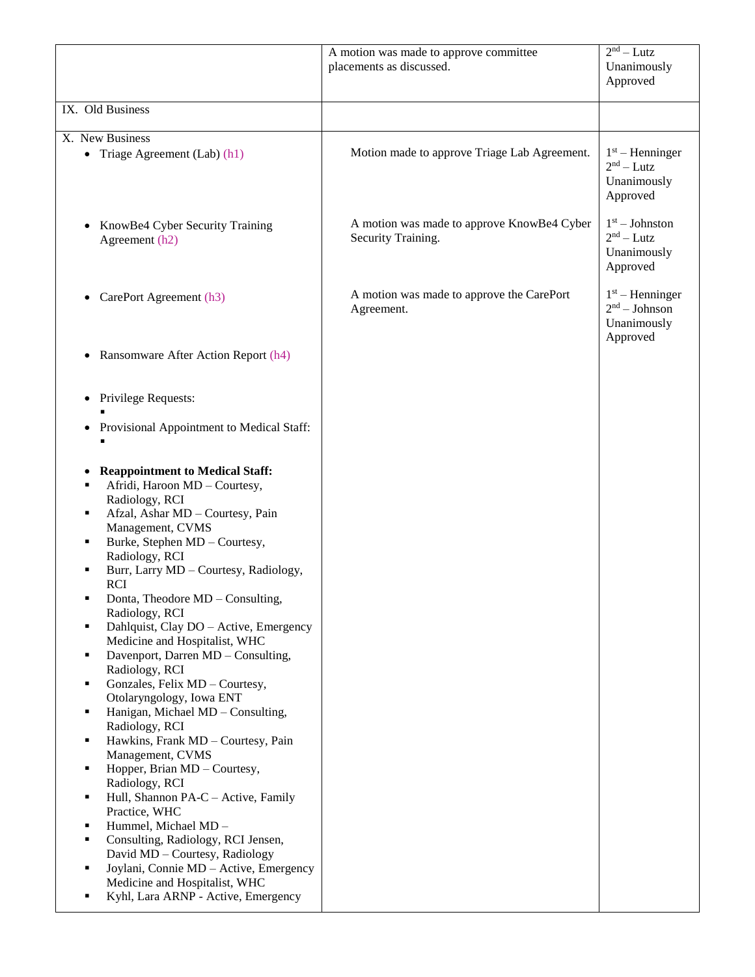|                                                                                                                                                                                                                                                                                                                                                                                                                                                                                                                                                                                                                                                                                                                                                                                                                                                                                                                                                                                                                           | A motion was made to approve committee<br>placements as discussed. | $2nd - Lutz$<br>Unanimously<br>Approved                         |
|---------------------------------------------------------------------------------------------------------------------------------------------------------------------------------------------------------------------------------------------------------------------------------------------------------------------------------------------------------------------------------------------------------------------------------------------------------------------------------------------------------------------------------------------------------------------------------------------------------------------------------------------------------------------------------------------------------------------------------------------------------------------------------------------------------------------------------------------------------------------------------------------------------------------------------------------------------------------------------------------------------------------------|--------------------------------------------------------------------|-----------------------------------------------------------------|
| IX. Old Business                                                                                                                                                                                                                                                                                                                                                                                                                                                                                                                                                                                                                                                                                                                                                                                                                                                                                                                                                                                                          |                                                                    |                                                                 |
| X. New Business                                                                                                                                                                                                                                                                                                                                                                                                                                                                                                                                                                                                                                                                                                                                                                                                                                                                                                                                                                                                           |                                                                    |                                                                 |
| • Triage Agreement (Lab) (h1)                                                                                                                                                                                                                                                                                                                                                                                                                                                                                                                                                                                                                                                                                                                                                                                                                                                                                                                                                                                             | Motion made to approve Triage Lab Agreement.                       | $1st$ – Henninger<br>$2nd - Lutz$<br>Unanimously<br>Approved    |
| KnowBe4 Cyber Security Training<br>$\bullet$<br>Agreement (h2)                                                                                                                                                                                                                                                                                                                                                                                                                                                                                                                                                                                                                                                                                                                                                                                                                                                                                                                                                            | A motion was made to approve KnowBe4 Cyber<br>Security Training.   | $1st - Johnston$<br>$2nd - Lutz$<br>Unanimously<br>Approved     |
| CarePort Agreement (h3)<br>$\bullet$                                                                                                                                                                                                                                                                                                                                                                                                                                                                                                                                                                                                                                                                                                                                                                                                                                                                                                                                                                                      | A motion was made to approve the CarePort<br>Agreement.            | $1st$ – Henninger<br>$2nd - Johnson$<br>Unanimously<br>Approved |
| Ransomware After Action Report (h4)                                                                                                                                                                                                                                                                                                                                                                                                                                                                                                                                                                                                                                                                                                                                                                                                                                                                                                                                                                                       |                                                                    |                                                                 |
| Privilege Requests:                                                                                                                                                                                                                                                                                                                                                                                                                                                                                                                                                                                                                                                                                                                                                                                                                                                                                                                                                                                                       |                                                                    |                                                                 |
| Provisional Appointment to Medical Staff:                                                                                                                                                                                                                                                                                                                                                                                                                                                                                                                                                                                                                                                                                                                                                                                                                                                                                                                                                                                 |                                                                    |                                                                 |
| <b>Reappointment to Medical Staff:</b><br>Afridi, Haroon MD - Courtesy,<br>Radiology, RCI<br>Afzal, Ashar MD - Courtesy, Pain<br>٠<br>Management, CVMS<br>Burke, Stephen MD - Courtesy,<br>٠<br>Radiology, RCI<br>Burr, Larry MD - Courtesy, Radiology,<br>RCI<br>Donta, Theodore MD - Consulting,<br>Radiology, RCI<br>Dahlquist, Clay DO - Active, Emergency<br>٠<br>Medicine and Hospitalist, WHC<br>Davenport, Darren MD - Consulting,<br>٠<br>Radiology, RCI<br>Gonzales, Felix MD - Courtesy,<br>٠<br>Otolaryngology, Iowa ENT<br>Hanigan, Michael MD - Consulting,<br>٠<br>Radiology, RCI<br>Hawkins, Frank MD - Courtesy, Pain<br>٠<br>Management, CVMS<br>Hopper, Brian MD - Courtesy,<br>٠<br>Radiology, RCI<br>Hull, Shannon PA-C - Active, Family<br>٠<br>Practice, WHC<br>Hummel, Michael MD -<br>٠<br>Consulting, Radiology, RCI Jensen,<br>٠<br>David MD - Courtesy, Radiology<br>Joylani, Connie MD - Active, Emergency<br>٠<br>Medicine and Hospitalist, WHC<br>Kyhl, Lara ARNP - Active, Emergency<br>٠ |                                                                    |                                                                 |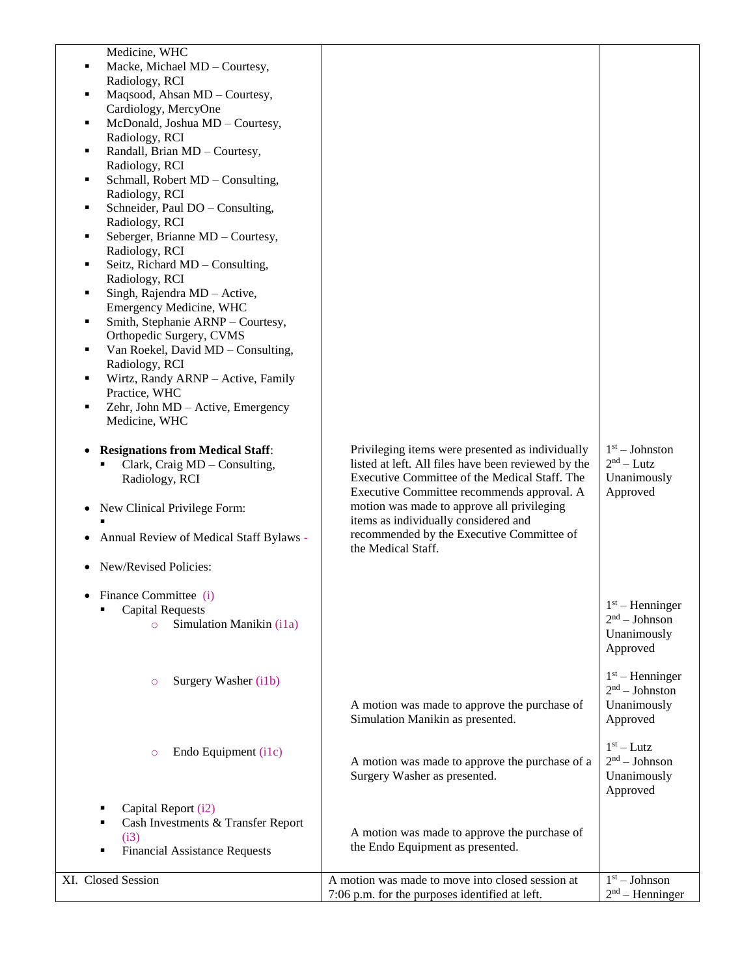| Medicine, WHC<br>٠                                             |                                                                                    |                                 |
|----------------------------------------------------------------|------------------------------------------------------------------------------------|---------------------------------|
| Macke, Michael MD - Courtesy,<br>Radiology, RCI                |                                                                                    |                                 |
| Maqsood, Ahsan MD - Courtesy,<br>٠                             |                                                                                    |                                 |
| Cardiology, MercyOne                                           |                                                                                    |                                 |
| McDonald, Joshua MD - Courtesy,<br>٠                           |                                                                                    |                                 |
| Radiology, RCI                                                 |                                                                                    |                                 |
| Randall, Brian MD - Courtesy,<br>٠<br>Radiology, RCI           |                                                                                    |                                 |
| Schmall, Robert MD - Consulting,<br>٠                          |                                                                                    |                                 |
| Radiology, RCI                                                 |                                                                                    |                                 |
| Schneider, Paul DO - Consulting,                               |                                                                                    |                                 |
| Radiology, RCI                                                 |                                                                                    |                                 |
| Seberger, Brianne MD - Courtesy,<br>٠                          |                                                                                    |                                 |
| Radiology, RCI<br>Seitz, Richard MD - Consulting,<br>٠         |                                                                                    |                                 |
| Radiology, RCI                                                 |                                                                                    |                                 |
| Singh, Rajendra MD - Active,<br>п                              |                                                                                    |                                 |
| Emergency Medicine, WHC                                        |                                                                                    |                                 |
| Smith, Stephanie ARNP - Courtesy,<br>٠                         |                                                                                    |                                 |
| Orthopedic Surgery, CVMS                                       |                                                                                    |                                 |
| Van Roekel, David MD - Consulting,<br>٠<br>Radiology, RCI      |                                                                                    |                                 |
| Wirtz, Randy ARNP - Active, Family                             |                                                                                    |                                 |
| Practice, WHC                                                  |                                                                                    |                                 |
| Zehr, John MD - Active, Emergency<br>٠                         |                                                                                    |                                 |
| Medicine, WHC                                                  |                                                                                    |                                 |
| <b>Resignations from Medical Staff:</b>                        | Privileging items were presented as individually                                   | $1st - Johnston$                |
| Clark, Craig MD - Consulting,                                  | listed at left. All files have been reviewed by the                                | $2nd - Lutz$                    |
| Radiology, RCI                                                 | Executive Committee of the Medical Staff. The                                      | Unanimously                     |
|                                                                | Executive Committee recommends approval. A                                         | Approved                        |
| New Clinical Privilege Form:                                   | motion was made to approve all privileging<br>items as individually considered and |                                 |
| Annual Review of Medical Staff Bylaws -                        | recommended by the Executive Committee of                                          |                                 |
|                                                                | the Medical Staff.                                                                 |                                 |
| New/Revised Policies:                                          |                                                                                    |                                 |
|                                                                |                                                                                    |                                 |
| Finance Committee (i)                                          |                                                                                    | $1st$ – Henninger               |
| <b>Capital Requests</b><br>Simulation Manikin (i1a)<br>$\circ$ |                                                                                    | $2nd - Johnson$                 |
|                                                                |                                                                                    | Unanimously                     |
|                                                                |                                                                                    | Approved                        |
|                                                                |                                                                                    | $1st$ – Henninger               |
| Surgery Washer (i1b)<br>O                                      |                                                                                    | $2nd - Johnston$                |
|                                                                | A motion was made to approve the purchase of                                       | Unanimously                     |
|                                                                | Simulation Manikin as presented.                                                   | Approved                        |
|                                                                |                                                                                    |                                 |
| Endo Equipment (i1c)<br>$\circ$                                |                                                                                    | $1st - Lutz$<br>$2nd - Johnson$ |
|                                                                | A motion was made to approve the purchase of a<br>Surgery Washer as presented.     | Unanimously                     |
|                                                                |                                                                                    | Approved                        |
| Capital Report (i2)                                            |                                                                                    |                                 |
| Cash Investments & Transfer Report                             |                                                                                    |                                 |
| (i3)                                                           | A motion was made to approve the purchase of                                       |                                 |
| <b>Financial Assistance Requests</b>                           | the Endo Equipment as presented.                                                   |                                 |
| XI. Closed Session                                             | A motion was made to move into closed session at                                   | $1st - Johnson$                 |
|                                                                | 7:06 p.m. for the purposes identified at left.                                     | $2nd$ – Henninger               |